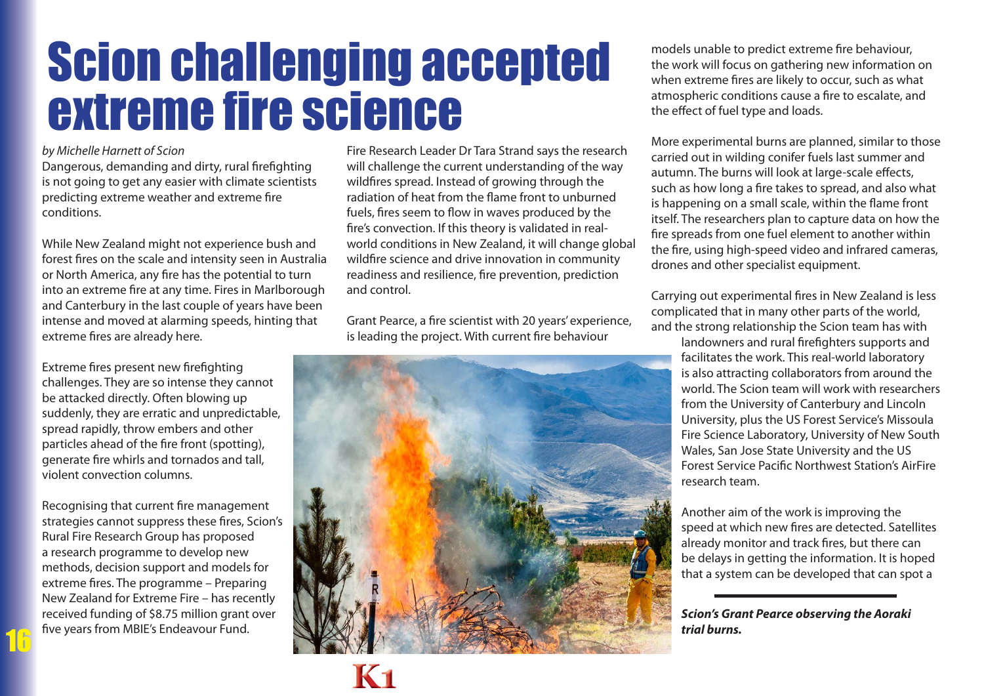## Scion challenging accepted extreme fire science

*by Michelle Harnett of Scion*

Dangerous, demanding and dirty, rural firefighting is not going to get any easier with climate scientists predicting extreme weather and extreme fire conditions.

While New Zealand might not experience bush and forest fires on the scale and intensity seen in Australia or North America, any fire has the potential to turn into an extreme fire at any time. Fires in Marlborough and Canterbury in the last couple of years have been intense and moved at alarming speeds, hinting that extreme fires are already here.

Extreme fires present new firefighting challenges. They are so intense they cannot be attacked directly. Often blowing up suddenly, they are erratic and unpredictable, spread rapidly, throw embers and other particles ahead of the fire front (spotting), generate fire whirls and tornados and tall, violent convection columns.

Recognising that current fire management strategies cannot suppress these fires, Scion's Rural Fire Research Group has proposed a research programme to develop new methods, decision support and models for extreme fires. The programme – Preparing New Zealand for Extreme Fire – has recently received funding of \$8.75 million grant over five years from MBIE's Endeavour Fund.

16

Fire Research Leader Dr Tara Strand says the research will challenge the current understanding of the way wildfires spread. Instead of growing through the radiation of heat from the flame front to unburned fuels, fires seem to flow in waves produced by the fire's convection. If this theory is validated in realworld conditions in New Zealand, it will change global wildfire science and drive innovation in community readiness and resilience, fire prevention, prediction and control.

Grant Pearce, a fire scientist with 20 years' experience, is leading the project. With current fire behaviour



**K1**

models unable to predict extreme fire behaviour, the work will focus on gathering new information on when extreme fires are likely to occur, such as what atmospheric conditions cause a fire to escalate, and the effect of fuel type and loads.

More experimental burns are planned, similar to those carried out in wilding conifer fuels last summer and autumn. The burns will look at large-scale effects, such as how long a fire takes to spread, and also what is happening on a small scale, within the flame front itself. The researchers plan to capture data on how the fire spreads from one fuel element to another within the fire, using high-speed video and infrared cameras, drones and other specialist equipment.

Carrying out experimental fires in New Zealand is less complicated that in many other parts of the world, and the strong relationship the Scion team has with

landowners and rural firefighters supports and facilitates the work. This real-world laboratory is also attracting collaborators from around the world. The Scion team will work with researchers from the University of Canterbury and Lincoln University, plus the US Forest Service's Missoula Fire Science Laboratory, University of New South Wales, San Jose State University and the US Forest Service Pacific Northwest Station's AirFire research team.

Another aim of the work is improving the speed at which new fires are detected. Satellites already monitor and track fires, but there can be delays in getting the information. It is hoped that a system can be developed that can spot a

*Scion's Grant Pearce observing the Aoraki trial burns.*